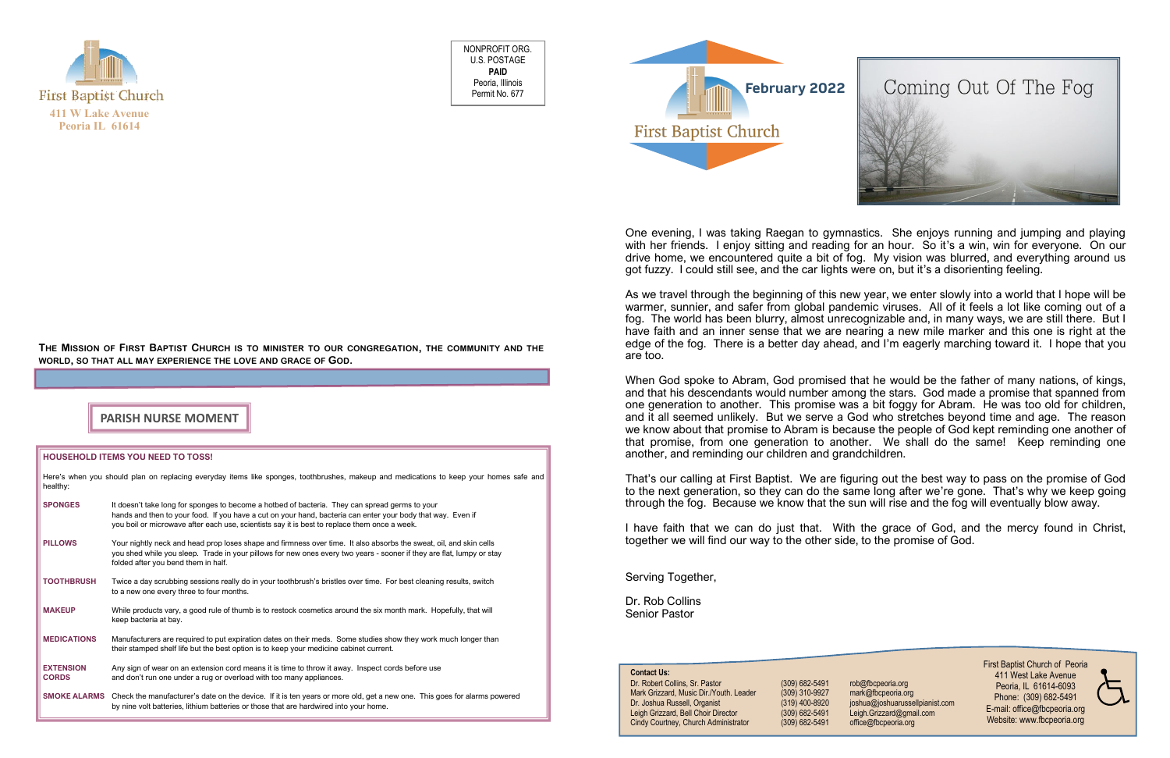

NONPROFIT ORG. U.S. POSTAGE **PAID** Peoria, Illinois Permit No. 677

### THE MISSION OF FIRST BAPTIST CHURCH IS TO MINISTER TO OUR CONGREGATION, THE COMMUNITY AND THE **WORLD, SO THAT ALL MAY EXPERIENCE THE LOVE AND GRACE OF GOD.**

### **HOUSEHOLD ITEMS YOU NEED TO TOSS!**

| Here's when you should plan on replacing everyday items like sponges, toothbrushes, makeup and medications to keep your homes safe and<br>healthy: |                                                                                                                                                                                                                                                                                                               |  |  |  |  |  |  |
|----------------------------------------------------------------------------------------------------------------------------------------------------|---------------------------------------------------------------------------------------------------------------------------------------------------------------------------------------------------------------------------------------------------------------------------------------------------------------|--|--|--|--|--|--|
| <b>SPONGES</b>                                                                                                                                     | It doesn't take long for sponges to become a hotbed of bacteria. They can spread germs to your<br>hands and then to your food. If you have a cut on your hand, bacteria can enter your body that way. Even if<br>you boil or microwave after each use, scientists say it is best to replace them once a week. |  |  |  |  |  |  |
| <b>PILLOWS</b>                                                                                                                                     | Your nightly neck and head prop loses shape and firmness over time. It also absorbs the sweat, oil, and skin cells<br>you shed while you sleep. Trade in your pillows for new ones every two years - sooner if they are flat, lumpy or stay<br>folded after you bend them in half.                            |  |  |  |  |  |  |
| <b>TOOTHBRUSH</b>                                                                                                                                  | Twice a day scrubbing sessions really do in your toothbrush's bristles over time. For best cleaning results, switch<br>to a new one every three to four months.                                                                                                                                               |  |  |  |  |  |  |
| <b>MAKEUP</b>                                                                                                                                      | While products vary, a good rule of thumb is to restock cosmetics around the six month mark. Hopefully, that will<br>keep bacteria at bay.                                                                                                                                                                    |  |  |  |  |  |  |
| <b>MEDICATIONS</b>                                                                                                                                 | Manufacturers are required to put expiration dates on their meds. Some studies show they work much longer than<br>their stamped shelf life but the best option is to keep your medicine cabinet current.                                                                                                      |  |  |  |  |  |  |
| <b>EXTENSION</b><br><b>CORDS</b>                                                                                                                   | Any sign of wear on an extension cord means it is time to throw it away. Inspect cords before use<br>and don't run one under a rug or overload with too many appliances.                                                                                                                                      |  |  |  |  |  |  |
| <b>SMOKE ALARMS</b>                                                                                                                                | Check the manufacturer's date on the device. If it is ten years or more old, get a new one. This goes for alarms powered<br>by nine volt batteries, lithium batteries or those that are hardwired into your home.                                                                                             |  |  |  |  |  |  |



## **PARISH NURSE MOMENT**

One evening, I was taking Raegan to gymnastics. She enjoys running and jumping and playing with her friends. I enjoy sitting and reading for an hour. So it's a win, win for everyone. On our drive home, we encountered quite a bit of fog. My vision was blurred, and everything around us got fuzzy. I could still see, and the car lights were on, but it's a disorienting feeling.

As we travel through the beginning of this new year, we enter slowly into a world that I hope will be warmer, sunnier, and safer from global pandemic viruses. All of it feels a lot like coming out of a fog. The world has been blurry, almost unrecognizable and, in many ways, we are still there. But I have faith and an inner sense that we are nearing a new mile marker and this one is right at the edge of the fog. There is a better day ahead, and I'm eagerly marching toward it. I hope that you are too.

When God spoke to Abram, God promised that he would be the father of many nations, of kings, and that his descendants would number among the stars. God made a promise that spanned from one generation to another. This promise was a bit foggy for Abram. He was too old for children, and it all seemed unlikely. But we serve a God who stretches beyond time and age. The reason we know about that promise to Abram is because the people of God kept reminding one another of that promise, from one generation to another. We shall do the same! Keep reminding one another, and reminding our children and grandchildren.

That's our calling at First Baptist. We are figuring out the best way to pass on the promise of God to the next generation, so they can do the same long after we're gone. That's why we keep going through the fog. Because we know that the sun will rise and the fog will eventually blow away.

I have faith that we can do just that. With the grace of God, and the mercy found in Christ, together we will find our way to the other side, to the promise of God.

Serving Together,

Dr. Rob Collins Senior Pastor

> First Baptist Church of Peoria 411 West Lake Avenue Peoria, IL 61614-6093 Phone: (309) 682-5491 E-mail: office@fbcpeoria.org Website: www.fbcpeoria.org

# **Contact Us:**

Dr. Robert Collins, Sr. Pastor (309) 682-5491 rob@fbcpeoria.org Mark Grizzard, Music Dir./Youth. Leader (309) 310-9927 mark@fbcpeoria.org Dr. Joshua Russell, Organist (319) 400-8920 joshua@joshuarussellpianist.com Leigh Grizzard, Bell Choir Director (309) 682-5491 Leigh.Grizzard@gmail.com Cindy Courtney, Church Administrator (309) 682-5491 office@fbcpeoria.org